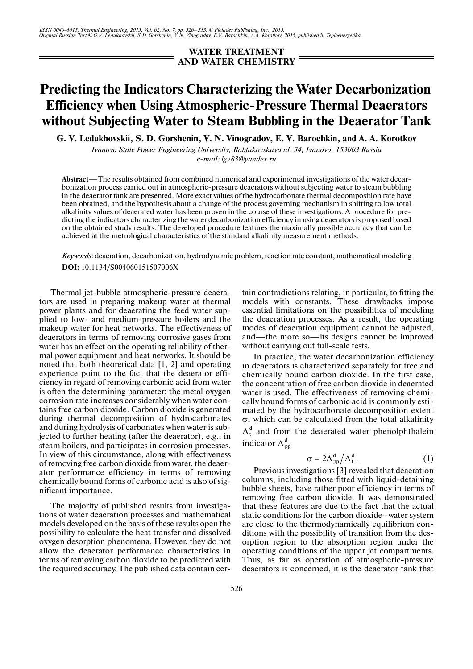## **WATER TREATMENT AND WATER CHEMISTRY**

## **Predicting the Indicators Characterizing the Water Decarbonization Efficiency when Using Atmospheric-Pressure Thermal Deaerators without Subjecting Water to Steam Bubbling in the Deaerator Tank**

**G. V. Ledukhovskii, S. D. Gorshenin, V. N. Vinogradov, E. V. Barochkin, and A. A. Korotkov**

*Ivanovo State Power Engineering University, Rabfakovskaya ul. 34, Ivanovo, 153003 Russia e-mail: lgv83@yandex.ru*

**Abstract**—The results obtained from combined numerical and experimental investigations of the water decar bonization process carried out in atmospheric-pressure deaerators without subjecting water to steam bubbling in the deaerator tank are presented. More exact values of the hydrocarbonate thermal decomposition rate have been obtained, and the hypothesis about a change of the process governing mechanism in shifting to low total alkalinity values of deaerated water has been proven in the course of these investigations. A procedure for pre dicting the indicators characterizing the water decarbonization efficiency in using deaerators is proposed based on the obtained study results. The developed procedure features the maximally possible accuracy that can be achieved at the metrological characteristics of the standard alkalinity measurement methods.

*Keywords*: deaeration, decarbonization, hydrodynamic problem, reaction rate constant, mathematical modeling **DOI:** 10.1134/S004060151507006X

Thermal jet-bubble atmospheric-pressure deaera tors are used in preparing makeup water at thermal power plants and for deaerating the feed water sup plied to low- and medium-pressure boilers and the makeup water for heat networks. The effectiveness of deaerators in terms of removing corrosive gases from water has an effect on the operating reliability of ther mal power equipment and heat networks. It should be noted that both theoretical data [1, 2] and operating experience point to the fact that the deaerator effi ciency in regard of removing carbonic acid from water is often the determining parameter: the metal oxygen corrosion rate increases considerably when water con tains free carbon dioxide. Carbon dioxide is generated during thermal decomposition of hydrocarbonates and during hydrolysis of carbonates when water is sub jected to further heating (after the deaerator), e.g., in steam boilers, and participates in corrosion processes. In view of this circumstance, along with effectiveness of removing free carbon dioxide from water, the deaer ator performance efficiency in terms of removing chemically bound forms of carbonic acid is also of sig nificant importance.

The majority of published results from investiga tions of water deaeration processes and mathematical models developed on the basis of these results open the possibility to calculate the heat transfer and dissolved oxygen desorption phenomena. However, they do not allow the deaerator performance characteristics in terms of removing carbon dioxide to be predicted with the required accuracy. The published data contain certain contradictions relating, in particular, to fitting the models with constants. These drawbacks impose essential limitations on the possibilities of modeling the deaeration processes. As a result, the operating modes of deaeration equipment cannot be adjusted, and—the more so—its designs cannot be improved without carrying out full-scale tests.

In practice, the water decarbonization efficiency in deaerators is characterized separately for free and chemically bound carbon dioxide. In the first case, the concentration of free carbon dioxide in deaerated water is used. The effectiveness of removing chemi cally bound forms of carbonic acid is commonly esti mated by the hydrocarbonate decomposition extent σ, which can be calculated from the total alkalinity  $A_t^d$  and from the deaerated water phenolphthalein indicator  $A_{pp}^d$ 

$$
\sigma = 2A_{pp}^d / A_t^d. \tag{1}
$$

Previous investigations [3] revealed that deaeration columns, including those fitted with liquid-detaining bubble sheets, have rather poor efficiency in terms of removing free carbon dioxide. It was demonstrated that these features are due to the fact that the actual static conditions for the carbon dioxide–water system are close to the thermodynamically equilibrium con ditions with the possibility of transition from the des orption region to the absorption region under the operating conditions of the upper jet compartments. Thus, as far as operation of atmospheric-pressure deaerators is concerned, it is the deaerator tank that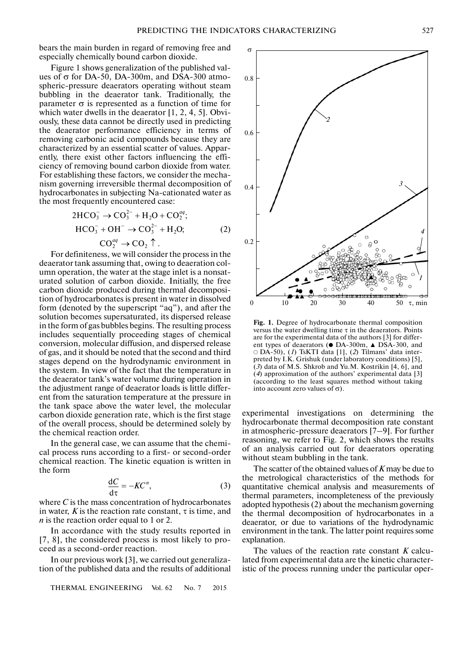bears the main burden in regard of removing free and especially chemically bound carbon dioxide.

Figure 1 shows generalization of the published val ues of  $\sigma$  for DA-50, DA-300m, and DSA-300 atmospheric-pressure deaerators operating without steam bubbling in the deaerator tank. Traditionally, the parameter σ is represented as a function of time for which water dwells in the deaerator [1, 2, 4, 5]. Obvi ously, these data cannot be directly used in predicting the deaerator performance efficiency in terms of removing carbonic acid compounds because they are characterized by an essential scatter of values. Appar ently, there exist other factors influencing the effi ciency of removing bound carbon dioxide from water. For establishing these factors, we consider the mecha nism governing irreversible thermal decomposition of hydrocarbonates in subjecting Na-cationated water as irreversible<br>
s in subjec<br>
ntly encou

the most frequently encountered case:  
\n
$$
2\text{HCO}_3^- \rightarrow \text{CO}_3^{2-} + \text{H}_2\text{O} + \text{CO}_2^{aq};
$$
\n
$$
\text{HCO}_3^- + \text{OH}^- \rightarrow \text{CO}_3^{2-} + \text{H}_2\text{O};
$$
\n
$$
\text{CO}_2^{aq} \rightarrow \text{CO}_2 \uparrow.
$$
\n(2)

For definiteness, we will consider the process in the deaerator tank assuming that, owing to deaeration col umn operation, the water at the stage inlet is a nonsat urated solution of carbon dioxide. Initially, the free carbon dioxide produced during thermal decomposi tion of hydrocarbonates is present in water in dissolved form (denoted by the superscript "aq"), and after the solution becomes supersaturated, its dispersed release in the form of gas bubbles begins. The resulting process includes sequentially proceeding stages of chemical conversion, molecular diffusion, and dispersed release of gas, and it should be noted that the second and third stages depend on the hydrodynamic environment in the system. In view of the fact that the temperature in the deaerator tank's water volume during operation in the adjustment range of deaerator loads is little different from the saturation temperature at the pressure in the tank space above the water level, the molecular carbon dioxide generation rate, which is the first stage of the overall process, should be determined solely by the chemical reaction order.

In the general case, we can assume that the chemi cal process runs according to a first- or second-order chemical reaction. The kinetic equation is written in the form

$$
\frac{\mathrm{d}C}{\mathrm{d}\tau} = -KC^n,\tag{3}
$$

where *C* is the mass concentration of hydrocarbonates in water,  $K$  is the reaction rate constant,  $\tau$  is time, and *n* is the reaction order equal to 1 or 2.

In accordance with the study results reported in [7, 8], the considered process is most likely to pro ceed as a second-order reaction.

In our previous work [3], we carried out generaliza tion of the published data and the results of additional

THERMAL ENGINEERING Vol. 62 No. 7 2015



**Fig. 1.** Degree of hydrocarbonate thermal composition versus the water dwelling time  $\tau$  in the deaerators. Points are for the experimental data of the authors [3] for different types of deaerators ( $\bullet$  DA-300m,  $\blacktriangle$  DSA-300, and DA-50), (*1*) TsKTI data [1], (*2*) Tilmans' data inter preted by I.K. Grishuk (under laboratory conditions) [5], (*3*) data of M.S. Shkrob and Yu.M. Kostrikin [4, 6], and (*4*) approximation of the authors' experimental data [3] (according to the least squares method without taking into account zero values of  $\sigma$ ).

experimental investigations on determining the hydrocarbonate thermal decomposition rate constant in atmospheric-pressure deaerators [7–9]. For further reasoning, we refer to Fig. 2, which shows the results of an analysis carried out for deaerators operating without steam bubbling in the tank.

The scatter of the obtained values of *K* may be due to the metrological characteristics of the methods for quantitative chemical analysis and measurements of thermal parameters, incompleteness of the previously adopted hypothesis (2) about the mechanism governing the thermal decomposition of hydrocarbonates in a deaerator, or due to variations of the hydrodynamic environment in the tank. The latter point requires some explanation.

The values of the reaction rate constant *K* calcu lated from experimental data are the kinetic character istic of the process running under the particular oper-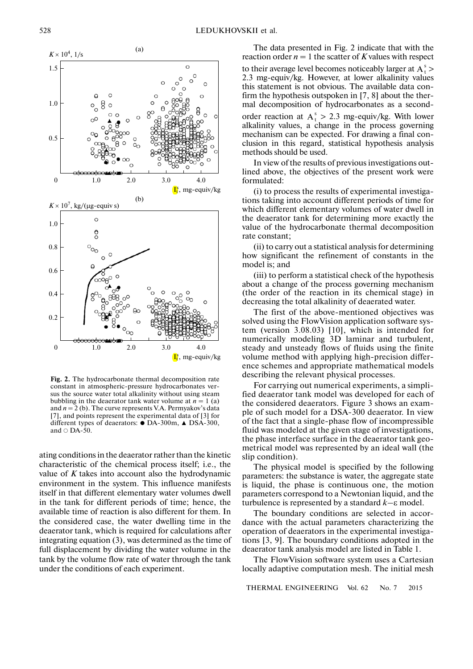

**Fig. 2.** The hydrocarbonate thermal decomposition rate constant in atmospheric-pressure hydrocarbonates ver sus the source water total alkalinity without using steam bubbling in the deaerator tank water volume at  $n = 1$  (a) and  $n = 2$  (b). The curve represents V.A. Permyakov's data [7], and points represent the experimental data of [3] for different types of deaerators: ● DA-300m, ▲ DSA-300, and  $\circ$  DA-50.

ating conditions in the deaerator rather than the kinetic characteristic of the chemical process itself; i.e., the value of *K* takes into account also the hydrodynamic environment in the system. This influence manifests itself in that different elementary water volumes dwell in the tank for different periods of time; hence, the available time of reaction is also different for them. In the considered case, the water dwelling time in the deaerator tank, which is required for calculations after integrating equation (3), was determined as the time of full displacement by dividing the water volume in the tank by the volume flow rate of water through the tank under the conditions of each experiment.

The data presented in Fig. 2 indicate that with the reaction order  $n = 1$  the scatter of K values with respect to their average level becomes noticeably larger at  $A_t^s$  > 2.3 mg-equiv/kg. However, at lower alkalinity values this statement is not obvious. The available data con firm the hypothesis outspoken in [7, 8] about the ther mal decomposition of hydrocarbonates as a second-

order reaction at  $A_t^s > 2.3$  mg-equiv/kg. With lower alkalinity values, a change in the process governing mechanism can be expected. For drawing a final con clusion in this regard, statistical hypothesis analysis methods should be used.

In view of the results of previous investigations out lined above, the objectives of the present work were formulated:

(i) to process the results of experimental investiga tions taking into account different periods of time for which different elementary volumes of water dwell in the deaerator tank for determining more exactly the value of the hydrocarbonate thermal decomposition rate constant;

(ii) to carry out a statistical analysis for determining how significant the refinement of constants in the model is; and

(iii) to perform a statistical check of the hypothesis about a change of the process governing mechanism (the order of the reaction in its chemical stage) in decreasing the total alkalinity of deaerated water.

The first of the above-mentioned objectives was solved using the FlowVision application software sys tem (version 3.08.03) [10], which is intended for numerically modeling 3D laminar and turbulent, steady and unsteady flows of fluids using the finite volume method with applying high-precision differ ence schemes and appropriate mathematical models describing the relevant physical processes.

For carrying out numerical experiments, a simpli fied deaerator tank model was developed for each of the considered deaerators. Figure 3 shows an exam ple of such model for a DSA-300 deaerator. In view of the fact that a single-phase flow of incompressible fluid was modeled at the given stage of investigations, the phase interface surface in the deaerator tank geo metrical model was represented by an ideal wall (the slip condition).

The physical model is specified by the following parameters: the substance is water, the aggregate state is liquid, the phase is continuous one, the motion parameters correspond to a Newtonian liquid, and the turbulence is represented by a standard *k–*ε model.

The boundary conditions are selected in accor dance with the actual parameters characterizing the operation of deaerators in the experimental investiga tions [3, 9]. The boundary conditions adopted in the deaerator tank analysis model are listed in Table 1.

The FlowVision software system uses a Cartesian locally adaptive computation mesh. The initial mesh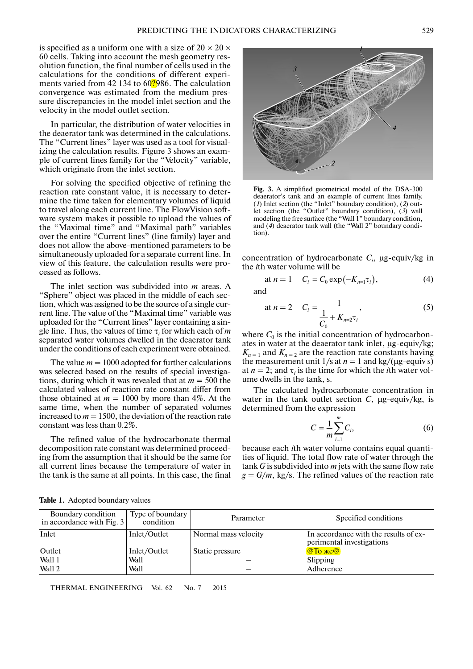is specified as a uniform one with a size of  $20 \times 20 \times$ 60 cells. Taking into account the mesh geometry res olution function, the final number of cells used in the calculations for the conditions of different experi ments varied from 42 134 to 60?986. The calculation convergence was estimated from the medium pres sure discrepancies in the model inlet section and the velocity in the model outlet section.

In particular, the distribution of water velocities in the deaerator tank was determined in the calculations. The "Current lines" layer was used as a tool for visual izing the calculation results. Figure 3 shows an exam ple of current lines family for the "Velocity" variable, which originate from the inlet section.

For solving the specified objective of refining the reaction rate constant value, it is necessary to deter mine the time taken for elementary volumes of liquid to travel along each current line. The FlowVision soft ware system makes it possible to upload the values of the "Maximal time" and "Maximal path" variables over the entire "Current lines" (line family) layer and does not allow the above-mentioned parameters to be simultaneously uploaded for a separate current line. In view of this feature, the calculation results were pro cessed as follows.

The inlet section was subdivided into *m* areas. A "Sphere" object was placed in the middle of each sec tion, which was assigned to be the source of a single cur rent line. The value of the "Maximal time" variable was uploaded for the "Current lines" layer containing a sin gle line. Thus, the values of time  $\tau_i$  for which each of *m* separated water volumes dwelled in the deaerator tank under the conditions of each experiment were obtained.

The value  $m = 1000$  adopted for further calculations was selected based on the results of special investiga tions, during which it was revealed that at *m* = 500 the calculated values of reaction rate constant differ from those obtained at  $m = 1000$  by more than 4%. At the same time, when the number of separated volumes increased to  $m = 1500$ , the deviation of the reaction rate constant was less than 0.2%.

The refined value of the hydrocarbonate thermal decomposition rate constant was determined proceed ing from the assumption that it should be the same for all current lines because the temperature of water in the tank is the same at all points. In this case, the final



**Fig. 3.** A simplified geometrical model of the DSA-300 deaerator's tank and an example of current lines family. (*1*) Inlet section (the "Inlet" boundary condition), (*2*) out let section (the "Outlet" boundary condition), (*3*) wall modeling the free surface (the "Wall 1" boundary condition, and (*4*) deaerator tank wall (the "Wall 2" boundary condi tion).

concentration of hydrocarbonate  $C_i$ ,  $\mu$ g-equiv/kg in the *i*th water volume will be

at 
$$
n = 1
$$
  $C_i = C_0 \exp(-K_{n=1} \tau_i)$ , (4)

and

at 
$$
n = 2
$$
  $C_i = \frac{1}{\frac{1}{C_0} + K_{n=2} \tau_i}$ , (5)

where  $C_0$  is the initial concentration of hydrocarbonates in water at the deaerator tank inlet, µg-equiv/kg;  $K_{n=1}$  and  $K_{n=2}$  are the reaction rate constants having the measurement unit  $1/s$  at  $n = 1$  and kg/( $\mu$ g-equiv s) at  $n = 2$ ; and  $\tau_i$  is the time for which the *i*th water volume dwells in the tank, s.

The calculated hydrocarbonate concentration in water in the tank outlet section *C*, µg-equiv/kg, is determined from the expression

$$
C = \frac{1}{m} \sum_{i=1}^{m} C_i,
$$
 (6)

because each *i*th water volume contains equal quanti ties of liquid. The total flow rate of water through the tank *G* is subdivided into *m* jets with the same flow rate  $g = G/m$ , kg/s. The refined values of the reaction rate

|  |  | Table 1. Adopted boundary values |
|--|--|----------------------------------|
|--|--|----------------------------------|

| Boundary condition<br>in accordance with Fig. $3$ | Type of boundary<br>condition | Parameter            | Specified conditions                                               |
|---------------------------------------------------|-------------------------------|----------------------|--------------------------------------------------------------------|
| Inlet                                             | Inlet/Outlet                  | Normal mass velocity | In accordance with the results of ex-<br>perimental investigations |
| Outlet                                            | Inlet/Outlet                  | Static pressure      | $\boxed{\omega$ To $\chi$ e $\boxed{\omega}$                       |
| Wall 1                                            | Wall                          |                      | Slipping                                                           |
| Wall 2                                            | Wall                          |                      | Adherence                                                          |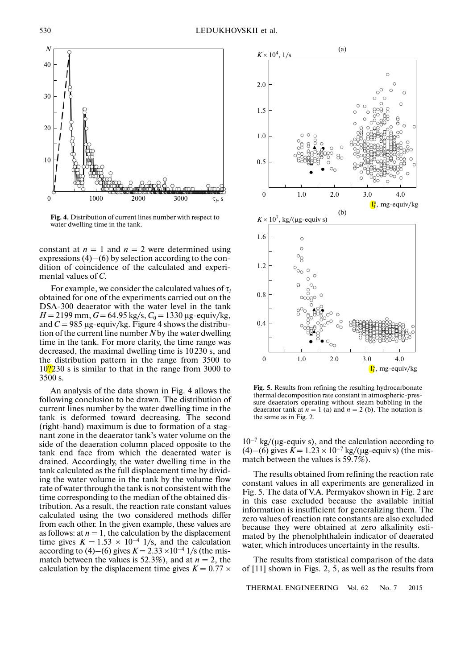

**Fig. 4.** Distribution of current lines number with respect to water dwelling time in the tank.

constant at  $n = 1$  and  $n = 2$  were determined using expressions (4)–(6) by selection according to the con dition of coincidence of the calculated and experi mental values of *С*.

For example, we consider the calculated values of τ*<sup>i</sup>* obtained for one of the experiments carried out on the DSA-300 deaerator with the water level in the tank  $H = 2199$  mm,  $G = 64.95$  kg/s,  $C_0 = 1330$  µg-equiv/kg, and  $C = 985 \mu$ g-equiv/kg. Figure 4 shows the distribution of the current line number *N* by the water dwelling time in the tank. For more clarity, the time range was decreased, the maximal dwelling time is 10230 s, and the distribution pattern in the range from 3500 to  $10\frac{2}{2}30$  s is similar to that in the range from 3000 to 3500 s.

An analysis of the data shown in Fig. 4 allows the following conclusion to be drawn. The distribution of current lines number by the water dwelling time in the tank is deformed toward decreasing. The second (right-hand) maximum is due to formation of a stag nant zone in the deaerator tank's water volume on the side of the deaeration column placed opposite to the tank end face from which the deaerated water is drained. Accordingly, the water dwelling time in the tank calculated as the full displacement time by divid ing the water volume in the tank by the volume flow rate of water through the tank is not consistent with the time corresponding to the median of the obtained dis tribution. As a result, the reaction rate constant values calculated using the two considered methods differ from each other. In the given example, these values are as follows: at  $n = 1$ , the calculation by the displacement time gives  $K = 1.53 \times 10^{-4}$  1/s, and the calculation according to (4)–(6) gives  $K = 2.33 \times 10^{-4}$  1/s (the mismatch between the values is 52.3%), and at  $n = 2$ , the calculation by the displacement time gives  $K = 0.77 \times$ 



**Fig. 5.** Results from refining the resulting hydrocarbonate thermal decomposition rate constant in atmospheric-pressure deaerators operating without steam bubbling in the deaerator tank at  $n = 1$  (a) and  $n = 2$  (b). The notation is the same as in Fig. 2.

 $10^{-7}$  kg/( $\mu$ g-equiv s), and the calculation according to (4)–(6) gives  $K = 1.23 \times 10^{-7}$  kg/( $\mu$ g-equiv s) (the mismatch between the values is 59.7%).

The results obtained from refining the reaction rate constant values in all experiments are generalized in Fig. 5. The data of V.A. Permyakov shown in Fig. 2 are in this case excluded because the available initial information is insufficient for generalizing them. The zero values of reaction rate constants are also excluded because they were obtained at zero alkalinity esti mated by the phenolphthalein indicator of deaerated water, which introduces uncertainty in the results.

The results from statistical comparison of the data of [11] shown in Figs. 2, 5, as well as the results from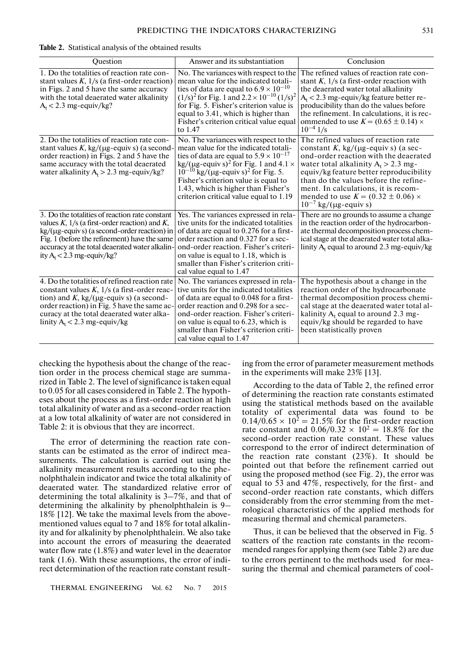**Table 2.** Statistical analysis of the obtained results

| Question                                                                                                                                                                                                                                                                                                    | Answer and its substantiation                                                                                                                                                                                                                                                                                                                                                            | Conclusion                                                                                                                                                                                                                                                                                                                                                                      |
|-------------------------------------------------------------------------------------------------------------------------------------------------------------------------------------------------------------------------------------------------------------------------------------------------------------|------------------------------------------------------------------------------------------------------------------------------------------------------------------------------------------------------------------------------------------------------------------------------------------------------------------------------------------------------------------------------------------|---------------------------------------------------------------------------------------------------------------------------------------------------------------------------------------------------------------------------------------------------------------------------------------------------------------------------------------------------------------------------------|
| 1. Do the totalities of reaction rate con-<br>stant values $K$ , $1/s$ (a first-order reaction)<br>in Figs. 2 and 5 have the same accuracy<br>with the total deaerated water alkalinity<br>$A_t < 2.3$ mg-equiv/kg?                                                                                         | No. The variances with respect to the<br>mean value for the indicated totali-<br>ties of data are equal to $6.9 \times 10^{-10}$<br>$(1/s)^2$ for Fig. 1 and $2.2 \times 10^{-10} (1/s)^2$<br>for Fig. 5. Fisher's criterion value is<br>equal to 3.41, which is higher than<br>Fisher's criterion critical value equal<br>to 1.47                                                       | The refined values of reaction rate con-<br>stant K, $1/s$ (a first-order reaction with<br>the deaerated water total alkalinity<br>$A_t$ < 2.3 mg-equiv/kg feature better re-<br>producibility than do the values before<br>the refinement. In calculations, it is rec-<br>ommended to use $K = (0.65 \pm 0.14) \times$<br>$10^{-4}$ 1/s                                        |
| 2. Do the totalities of reaction rate con-<br>stant values K, kg/( $\mu$ g-equiv s) (a second-<br>order reaction) in Figs. 2 and 5 have the<br>same accuracy with the total deaerated<br>water alkalinity $A_t > 2.3$ mg-equiv/kg?                                                                          | No. The variances with respect to the<br>mean value for the indicated totali-<br>ties of data are equal to $5.9 \times 10^{-17}$<br>kg/( $\mu$ g-equiv s) <sup>2</sup> for Fig. 1 and 4.1 $\times$<br>$10^{-10}$ kg/( $\mu$ g-equiv s) <sup>2</sup> for Fig. 5.<br>Fisher's criterion value is equal to<br>1.43, which is higher than Fisher's<br>criterion critical value equal to 1.19 | The refined values of reaction rate<br>constant K, kg/( $\mu$ g-equiv s) (a sec-<br>ond-order reaction with the deaerated<br>water total alkalinity $A_t > 2.3$ mg-<br>equiv/kg feature better reproducibility<br>than do the values before the refine-<br>ment. In calculations, it is recom-<br>mended to use $K = (0.32 \pm 0.06) \times$<br>$10^{-7}$ kg/( $\mu$ g-equiv s) |
| 3. Do the totalities of reaction rate constant<br>values $K$ , $1/s$ (a first-order reaction) and $K$ ,<br>$\text{kg/(}\mu\text{g-equiv s)}$ (a second-order reaction) in<br>Fig. 1 (before the refinement) have the same<br>accuracy at the total deaerated water alkalin-<br>ity $A_t < 2.3$ mg-equiv/kg? | Yes. The variances expressed in rela-<br>tive units for the indicated totalities<br>of data are equal to 0.276 for a first-<br>order reaction and 0.327 for a sec-<br>ond-order reaction. Fisher's criteri-<br>on value is equal to 1.18, which is<br>smaller than Fisher's criterion criti-<br>cal value equal to 1.47                                                                  | There are no grounds to assume a change.<br>in the reaction order of the hydrocarbon-<br>ate thermal decomposition process chem-<br>ical stage at the deaerated water total alka-<br>linity $A_t$ equal to around 2.3 mg-equiv/kg                                                                                                                                               |
| 4. Do the totalities of refined reaction rate<br>constant values $K$ , $1/s$ (a first-order reac-<br>tion) and K, kg/( $\mu$ g-equiv s) (a second-<br>order reaction) in Fig. 5 have the same ac-<br>curacy at the total deaerated water alka-<br>linity $A_t < 2.3$ mg-equiv/kg                            | No. The variances expressed in rela-<br>tive units for the indicated totalities<br>of data are equal to 0.048 for a first-<br>order reaction and 0.298 for a sec-<br>ond-order reaction. Fisher's criteri-<br>on value is equal to 6.23, which is<br>smaller than Fisher's criterion criti-<br>cal value equal to 1.47                                                                   | The hypothesis about a change in the<br>reaction order of the hydrocarbonate<br>thermal decomposition process chemi-<br>cal stage at the deaerated water total al-<br>kalinity $A_t$ equal to around 2.3 mg-<br>equiv/kg should be regarded to have<br>been statistically proven                                                                                                |

checking the hypothesis about the change of the reac tion order in the process chemical stage are summa rized in Table 2. The level of significance is taken equal to 0.05 for all cases considered in Table 2. The hypoth eses about the process as a first-order reaction at high total alkalinity of water and as a second-order reaction at a low total alkalinity of water are not considered in Table 2: it is obvious that they are incorrect.

The error of determining the reaction rate con stants can be estimated as the error of indirect mea surements. The calculation is carried out using the alkalinity measurement results according to the phe nolphthalein indicator and twice the total alkalinity of deaerated water. The standardized relative error of determining the total alkalinity is 3–7%, and that of determining the alkalinity by phenolphthalein is 9– 18% [12]. We take the maximal levels from the above mentioned values equal to 7 and 18% for total alkalin ity and for alkalinity by phenolphthalein. We also take into account the errors of measuring the deaerated water flow rate (1.8%) and water level in the deaerator tank (1.6). With these assumptions, the error of indi rect determination of the reaction rate constant result-

THERMAL ENGINEERING Vol. 62 No. 7 2015

ing from the error of parameter measurement methods in the experiments will make 23% [13].

According to the data of Table 2, the refined error of determining the reaction rate constants estimated using the statistical methods based on the available totality of experimental data was found to be  $0.14/0.65 \times 10^2 = 21.5%$  for the first-order reaction rate constant and  $0.06/0.32 \times 10^2 = 18.8\%$  for the second-order reaction rate constant. These values correspond to the error of indirect determination of the reaction rate constant (23%). It should be pointed out that before the refinement carried out using the proposed method (see Fig. 2), the error was equal to 53 and 47%, respectively, for the first- and second-order reaction rate constants, which differs considerably from the error stemming from the met rological characteristics of the applied methods for measuring thermal and chemical parameters.

Thus, it can be believed that the observed in Fig. 5 scatters of the reaction rate constants in the recom mended ranges for applying them (see Table 2) are due to the errors pertinent to the methods used for mea suring the thermal and chemical parameters of cool-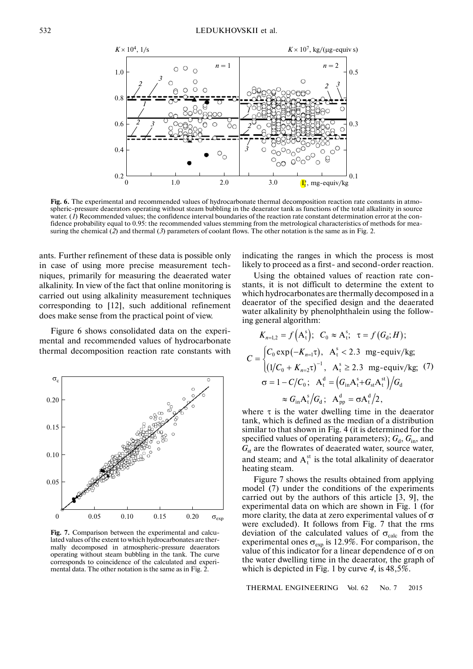

**Fig. 6.** The experimental and recommended values of hydrocarbonate thermal decomposition reaction rate constants in atmo spheric-pressure deaerators operating without steam bubbling in the deaerator tank as functions of the total alkalinity in source water. (*1*) Recommended values; the confidence interval boundaries of the reaction rate constant determination error at the con fidence probability equal to 0.95: the recommended values stemming from the metrological characteristics of methods for mea suring the chemical (2) and thermal (3) parameters of coolant flows. The other notation is the same as in Fig. 2.

ants. Further refinement of these data is possible only in case of using more precise measurement tech niques, primarily for measuring the deaerated water alkalinity. In view of the fact that online monitoring is carried out using alkalinity measurement techniques corresponding to [12], such additional refinement does make sense from the practical point of view.

Figure 6 shows consolidated data on the experi mental and recommended values of hydrocarbonate thermal decomposition reaction rate constants with



**Fig. 7.** Comparison between the experimental and calcu lated values of the extent to which hydrocarbonates are thermally decomposed in atmospheric-pressure deaerators operating without steam bubbling in the tank. The curve corresponds to coincidence of the calculated and experi mental data. The other notation is the same as in Fig. 2.

indicating the ranges in which the process is most likely to proceed as a first- and second-order reaction.

Using the obtained values of reaction rate con stants, it is not difficult to determine the extent to which hydrocarbonates are thermally decomposed in a deaerator of the specified design and the deaerated water alkalinity by phenolphthalein using the follow ing general algorithm:

$$
K_{n=1,2} = f(A_t^s); C_0 \approx A_t^s; \tau = f(G_d; H);
$$
  
\n
$$
C = \begin{cases} C_0 \exp(-K_{n=1}\tau), A_t^s < 2.3 \text{ mg-equiv/kg};\\ (1/C_0 + K_{n=2}\tau)^{-1}, A_t^s \ge 2.3 \text{ mg-equiv/kg}; (7) \end{cases}
$$
  
\n
$$
\sigma = 1 - C/C_0; A_t^d = (G_{in}A_t^s + G_{st}A_t^s)/G_d
$$
  
\n
$$
\approx G_{in}A_t^s/G_d; A_{pp}^d = \sigma A_t^d/2,
$$

where  $\tau$  is the water dwelling time in the deaerator tank, which is defined as the median of a distribution similar to that shown in Fig. 4 (it is determined for the specified values of operating parameters);  $G_d$ ,  $G_{in}$ , and  $G<sub>st</sub>$  are the flowrates of deaerated water, source water, and steam; and  $A_t^{st}$  is the total alkalinity of deaerator heating steam.

Figure 7 shows the results obtained from applying model (7) under the conditions of the experiments carried out by the authors of this article [3, 9], the experimental data on which are shown in Fig. 1 (for more clarity, the data at zero experimental values of  $\sigma$ were excluded). It follows from Fig. 7 that the rms deviation of the calculated values of  $\sigma_{calc}$  from the experimental ones  $\sigma_{\text{exp}}$  is 12.9%. For comparison, the value of this indicator for a linear dependence of  $\sigma$  on the water dwelling time in the deaerator, the graph of which is depicted in Fig. 1 by curve *4*, is 48,5%.